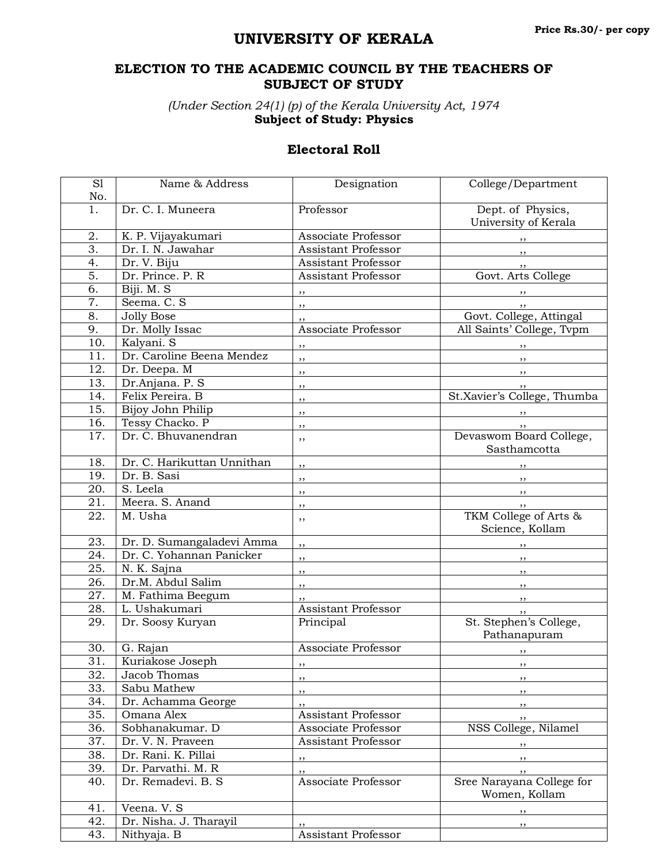## **UNIVERSITY OF KERALA**

## **ELECTION TO THE ACADEMIC COUNCIL BY THE TEACHERS OF SUBJECT OF STUDY**

*(Under Section 24(1) (p) of the Kerala University Act, 1974* **Subject of Study: Physics**

## **Electoral Roll**

| S1                | Name & Address             | Designation                   | College/Department                          |
|-------------------|----------------------------|-------------------------------|---------------------------------------------|
| No.               |                            |                               |                                             |
| 1.                | Dr. C. I. Muneera          | Professor                     | Dept. of Physics,<br>University of Kerala   |
| 2.                | K. P. Vijayakumari         | Associate Professor           |                                             |
| 3.                | Dr. I. N. Jawahar          | <b>Assistant Professor</b>    | ,,                                          |
| 4.                | Dr. V. Biju                | <b>Assistant Professor</b>    | ,,                                          |
| 5.                | Dr. Prince. P. R.          | Assistant Professor           | Govt. Arts College                          |
| 6.                | Biji. M. S                 | $\overline{\phantom{a}}$      |                                             |
| 7.                | Seema. C. S                | $\overline{\phantom{a}}$      | $, \, \,$                                   |
| 8.                | <b>Jolly Bose</b>          | ,,                            | Govt. College, Attingal                     |
| 9.                | Dr. Molly Issac            | Associate Professor           | All Saints' College, Tvpm                   |
| 10.               | Kalyani. S                 | $, \,$                        |                                             |
| 11.               | Dr. Caroline Beena Mendez  | ,,                            |                                             |
| 12.               | Dr. Deepa. M               | ,,                            | , ,                                         |
| 13.               | Dr.Anjana. P. S            | ,,                            |                                             |
| 14.               | Felix Pereira. B           | ,,                            | St.Xavier's College, Thumba                 |
| 15.               | Bijoy John Philip          | ,,                            |                                             |
| 16.               | Tessy Chacko. P            | ,,                            |                                             |
| 17.               | Dr. C. Bhuvanendran        | ,,                            | <br>Devaswom Board College,<br>Sasthamcotta |
| 18.               | Dr. C. Harikuttan Unnithan | ,,                            |                                             |
| 19.               | Dr. B. Sasi                | ,,                            | , ,                                         |
| 20.               | S. Leela                   | ,,                            | $, \, \,$                                   |
| 21.               | Meera. S. Anand            | ,,                            | , ,                                         |
| 22.               | M. Usha                    | ,,                            | TKM College of Arts &<br>Science, Kollam    |
| 23.               | Dr. D. Sumangaladevi Amma  | ,,                            |                                             |
| 24.               | Dr. C. Yohannan Panicker   | ,,                            | $, \, \,$                                   |
| 25.               | N. K. Sajna                | ,,                            | $, \,$                                      |
| 26.               | Dr.M. Abdul Salim          | $\frac{1}{2}$                 | , ,                                         |
| 27.               | M. Fathima Beegum          | ,,                            | $, \, \,$                                   |
| 28.               | L. Ushakumari              | <b>Assistant Professor</b>    | , ,                                         |
| 29.               | Dr. Soosy Kuryan           | Principal                     | St. Stephen's College,<br>Pathanapuram      |
| 30.               | G. Rajan                   | Associate Professor           | ,,                                          |
| $\overline{31}$ . | Kuriakose Joseph           | ,,                            |                                             |
| 32.               | Jacob Thomas               | , ,                           | ,,                                          |
| 33.               | Sabu Mathew                | $, \,$                        | $, \,$                                      |
| 34.               | Dr. Achamma George         | ,,                            | , ,                                         |
| 35.               | Omana Alex                 | Assistant Professor           | , ,                                         |
| 36.               | Sobhanakumar. D            | Associate Professor           | NSS College, Nilamel                        |
| 37.               | Dr. V. N. Praveen          | Assistant Professor           | $, \, \, \cdot$                             |
| 38.               | Dr. Rani. K. Pillai        | $\frac{1}{2}$ , $\frac{1}{2}$ | $, \, \,$                                   |
| 39.               | Dr. Parvathi. M. R         | ,,                            | , ,                                         |
| 40.               | Dr. Remadevi. B. S         | Associate Professor           | Sree Narayana College for<br>Women, Kollam  |
| 41.               | Veena. V. S                |                               | $, \,$                                      |
| 42.               | Dr. Nisha. J. Tharayil     | ,,                            | ,,                                          |
| 43.               | Nithyaja. B                | <b>Assistant Professor</b>    |                                             |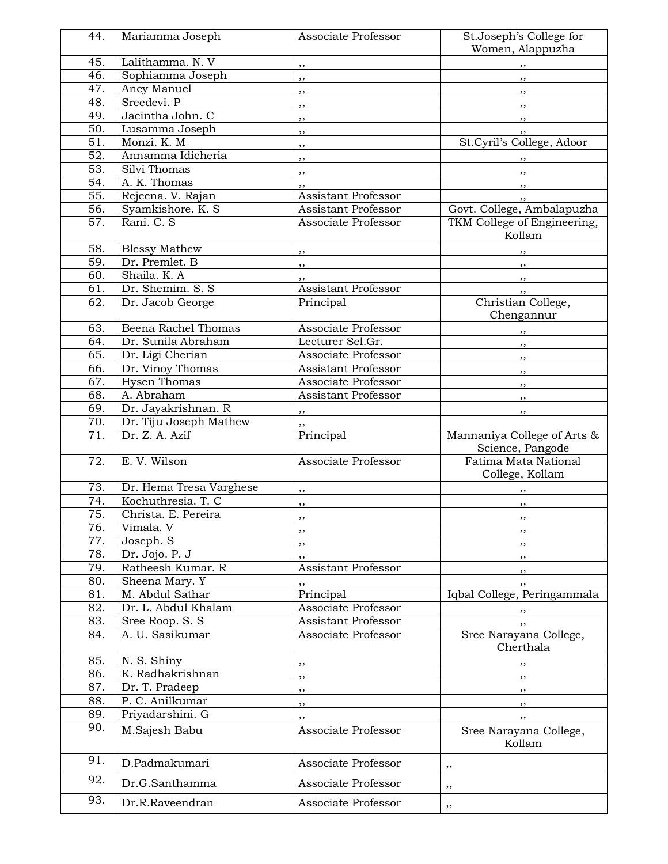| 44.               | Mariamma Joseph         | Associate Professor                                 | St.Joseph's College for<br>Women, Alappuzha     |
|-------------------|-------------------------|-----------------------------------------------------|-------------------------------------------------|
| 45.               | Lalithamma. N. V        |                                                     |                                                 |
| 46.               | Sophiamma Joseph        | ,,                                                  | ,,                                              |
| 47.               | Ancy Manuel             | ,,                                                  | ,,                                              |
| 48.               | Sreedevi. P             | ,,                                                  | ,,                                              |
| 49.               | Jacintha John. C        | $, \,$                                              | , ,                                             |
| 50.               | Lusamma Joseph          | ,,                                                  | , ,                                             |
| 51.               | Monzi, K. M             | ,,                                                  | St.Cyril's College, Adoor                       |
| $\overline{52}$ . | Annamma Idicheria       | $, \,$                                              |                                                 |
| 53.               | Silvi Thomas            | ,,                                                  | ,,                                              |
| 54.               | A. K. Thomas            | , ,                                                 | ,,                                              |
| $\overline{55}$ . | Rejeena. V. Rajan       | ,,<br>Assistant Professor                           | $, \,$                                          |
| 56.               | Syamkishore. K. S       | Assistant Professor                                 | , ,<br>Govt. College, Ambalapuzha               |
| 57.               | Rani. C. S              | Associate Professor                                 | TKM College of Engineering,                     |
|                   |                         |                                                     | Kollam                                          |
| 58.               | <b>Blessy Mathew</b>    | ,,                                                  | ,,                                              |
| 59.               | Dr. Premlet. B          | ,,                                                  | $, \, \cdot$                                    |
| 60.               | Shaila. K. A            | $, \,$                                              | $, \,$                                          |
| 61.               | Dr. Shemim. S. S.       | Assistant Professor                                 | $, \, , \,$                                     |
| 62.               | Dr. Jacob George        | Principal                                           | Christian College,                              |
|                   |                         |                                                     | Chengannur                                      |
| 63.               | Beena Rachel Thomas     | Associate Professor                                 |                                                 |
| 64.               | Dr. Sunila Abraham      | Lecturer Sel.Gr.                                    | $\overline{\phantom{a}}$                        |
| 65.               | Dr. Ligi Cherian        | Associate Professor                                 | $, \, \,$                                       |
| 66.               | Dr. Vinoy Thomas        | Assistant Professor                                 | ,,                                              |
| 67.               | <b>Hysen Thomas</b>     | Associate Professor                                 | $, \,$                                          |
| 68.               | A. Abraham              | Assistant Professor                                 | $, \, \,$                                       |
| 69.               | Dr. Jayakrishnan. R     | $\overline{\phantom{a}}$ , $\overline{\phantom{a}}$ | ,,                                              |
| 70.               | Dr. Tiju Joseph Mathew  | ,,                                                  |                                                 |
| 71.               | Dr. Z. A. Azif          | Principal                                           | Mannaniya College of Arts &<br>Science, Pangode |
| 72.               | E. V. Wilson            | Associate Professor                                 | Fatima Mata National<br>College, Kollam         |
| 73.               | Dr. Hema Tresa Varghese | ,,                                                  |                                                 |
| 74.               | Kochuthresia. T. C      | , ,                                                 | ,,                                              |
| 75.               | Christa. E. Pereira     | $, \,$                                              | $, \,$                                          |
| 76.               | Vimala. V               |                                                     |                                                 |
| 77.               | Joseph. S               | ,,                                                  | $, \,$                                          |
| 78.               | Dr. Jojo. P. J          | ,,                                                  | , ,                                             |
| 79.               | Ratheesh Kumar. R       | ,,<br>Assistant Professor                           | ,,                                              |
| 80.               | Sheena Mary. Y          |                                                     | ,,<br>,,                                        |
| 81.               | M. Abdul Sathar         | Principal                                           | Iqbal College, Peringammala                     |
| 82.               | Dr. L. Abdul Khalam     | Associate Professor                                 |                                                 |
| 83.               | Sree Roop. S. S         | Assistant Professor                                 | ,,<br>,,                                        |
| 84.               | A. U. Sasikumar         | Associate Professor                                 | Sree Narayana College,<br>Cherthala             |
| 85.               | N. S. Shiny             |                                                     |                                                 |
| 86.               | K. Radhakrishnan        | ,,<br>,,                                            | ,,<br>,,                                        |
| 87.               | Dr. T. Pradeep          |                                                     |                                                 |
| 88.               | P. C. Anilkumar         | ,,<br>,,                                            | $, \,$                                          |
| 89.               | Priyadarshini. G        | ,,                                                  | $, \,$<br>,,                                    |
| 90.               | M.Sajesh Babu           | Associate Professor                                 | Sree Narayana College,<br>Kollam                |
| 91.               | D.Padmakumari           | Associate Professor                                 | ,,                                              |
| 92.               | Dr.G.Santhamma          | Associate Professor                                 | ,,                                              |
| 93.               | Dr.R.Raveendran         | Associate Professor                                 | ,,                                              |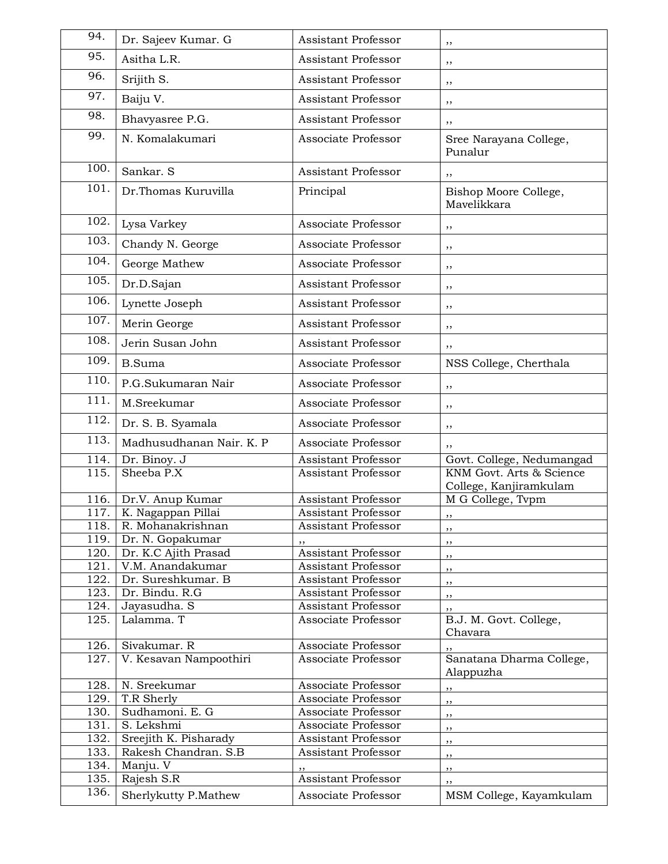| 94.          | Dr. Sajeev Kumar. G                  | <b>Assistant Professor</b>                 | ,,                                                    |
|--------------|--------------------------------------|--------------------------------------------|-------------------------------------------------------|
| 95.          | Asitha L.R.                          | Assistant Professor                        | ,,                                                    |
| 96.          | Srijith S.                           | Assistant Professor                        | ,,                                                    |
| 97.          | Baiju V.                             | Assistant Professor                        | ,,                                                    |
| 98.          | Bhavyasree P.G.                      | Assistant Professor                        | ,,                                                    |
| 99.          | N. Komalakumari                      | Associate Professor                        | Sree Narayana College,<br>Punalur                     |
| 100.         | Sankar. S                            | <b>Assistant Professor</b>                 | ,,                                                    |
| 101.         | Dr.Thomas Kuruvilla                  | Principal                                  | Bishop Moore College,<br>Mavelikkara                  |
| 102.         | Lysa Varkey                          | Associate Professor                        | ,,                                                    |
| 103.         | Chandy N. George                     | Associate Professor                        | ,,                                                    |
| 104.         | George Mathew                        | Associate Professor                        | ,,                                                    |
| 105.         | Dr.D.Sajan                           | Assistant Professor                        | ,,                                                    |
| 106.         | Lynette Joseph                       | Assistant Professor                        | ,,                                                    |
| 107.         | Merin George                         | Assistant Professor                        | ,,                                                    |
| 108.         | Jerin Susan John                     | Assistant Professor                        |                                                       |
| 109.         | <b>B.Suma</b>                        | Associate Professor                        | ,,<br>NSS College, Cherthala                          |
| 110.         | P.G.Sukumaran Nair                   | Associate Professor                        |                                                       |
| 111.         |                                      |                                            | ,,                                                    |
| 112.         | M.Sreekumar                          | Associate Professor                        | ,,                                                    |
|              | Dr. S. B. Syamala                    | Associate Professor                        | ,,                                                    |
| 113.         | Madhusudhanan Nair. K. P             | Associate Professor                        | ,,                                                    |
| 114.<br>115. | Dr. Binoy. J<br>Sheeba P.X           | Assistant Professor                        | Govt. College, Nedumangad<br>KNM Govt. Arts & Science |
|              |                                      | Assistant Professor                        | College, Kanjiramkulam                                |
| 116.         | Dr.V. Anup Kumar                     | Assistant Professor                        | $\overline{M}$ G College, Tvpm                        |
| 117.         | K. Nagappan Pillai                   | <b>Assistant Professor</b>                 | , ,                                                   |
| 118.         | R. Mohanakrishnan                    | Assistant Professor                        | ,,                                                    |
| 119.         | Dr. N. Gopakumar                     |                                            | ,,                                                    |
| 120.         | Dr. K.C Ajith Prasad                 | Assistant Professor                        | ,,                                                    |
| 121.         | V.M. Anandakumar                     | <b>Assistant Professor</b>                 | ,,                                                    |
| 122.<br>123. | Dr. Sureshkumar. B<br>Dr. Bindu. R.G | Assistant Professor<br>Assistant Professor | ,,                                                    |
| 124.         | Jayasudha. S                         | Assistant Professor                        | ,,                                                    |
| 125.         | Lalamma. T                           | Associate Professor                        | ,,<br>B.J. M. Govt. College,<br>Chavara               |
| 126.         | Sivakumar. R                         | Associate Professor                        |                                                       |
| 127.         | V. Kesavan Nampoothiri               | Associate Professor                        | Sanatana Dharma College,<br>Alappuzha                 |
| 128.         | N. Sreekumar                         | Associate Professor                        | ,,                                                    |
| 129.         | T.R Sherly                           | Associate Professor                        | ,,                                                    |
| 130.         | Sudhamoni. E. G                      | Associate Professor                        | ,,                                                    |
| 131.         | S. Lekshmi                           | Associate Professor                        | ,,                                                    |
| 132.         | Sreejith K. Pisharady                | Assistant Professor                        | ,,                                                    |
| 133.         | Rakesh Chandran. S.B                 | Assistant Professor                        | ,,                                                    |
| 134.         | Manju. V                             | ,,                                         | , ,                                                   |
| 135.         | Rajesh S.R                           | Assistant Professor                        | ,,                                                    |
| 136.         | Sherlykutty P.Mathew                 | Associate Professor                        | MSM College, Kayamkulam                               |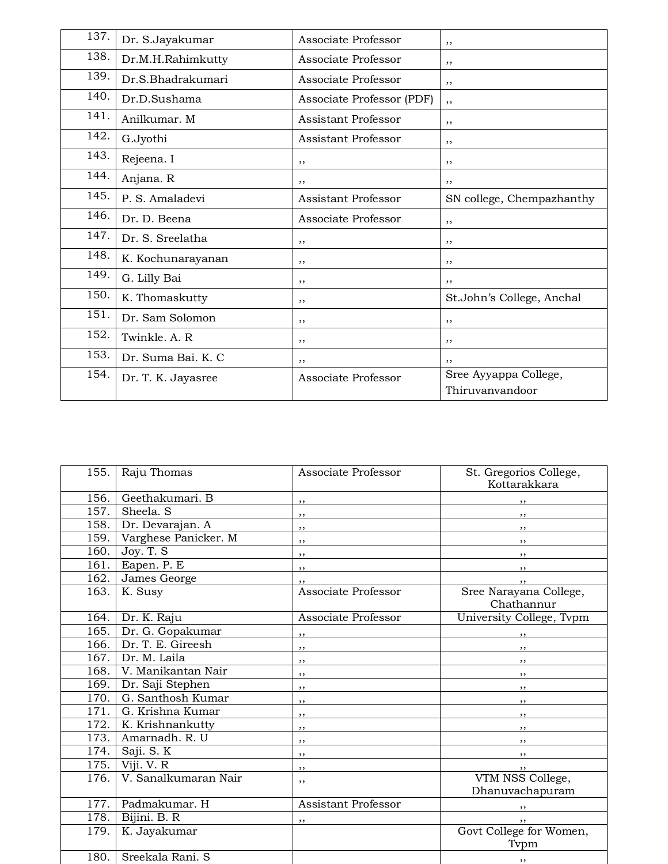| 137. | Dr. S.Jayakumar    | Associate Professor       | ,,                                       |
|------|--------------------|---------------------------|------------------------------------------|
| 138. | Dr.M.H.Rahimkutty  | Associate Professor       | , ,                                      |
| 139. | Dr.S.Bhadrakumari  | Associate Professor       | ,,                                       |
| 140. | Dr.D.Sushama       | Associate Professor (PDF) | ,,                                       |
| 141. | Anilkumar. M       | Assistant Professor       | ,,                                       |
| 142. | G.Jyothi           | Assistant Professor       | , ,                                      |
| 143. | Rejeena. I         | ,,                        | ,,                                       |
| 144. | Anjana. R          | ,,                        | ,,                                       |
| 145. | P. S. Amaladevi    | Assistant Professor       | SN college, Chempazhanthy                |
| 146. | Dr. D. Beena       | Associate Professor       | ,,                                       |
| 147. | Dr. S. Sreelatha   | ,,                        | ,,                                       |
| 148. | K. Kochunarayanan  | ,,                        | ,,                                       |
| 149. | G. Lilly Bai       | ,,                        | ,,                                       |
| 150. | K. Thomaskutty     | , ,                       | St.John's College, Anchal                |
| 151. | Dr. Sam Solomon    | ,,                        | ,,                                       |
| 152. | Twinkle, A. R.     | ,,                        | ,,                                       |
| 153. | Dr. Suma Bai. K. C | ,,                        | ,,                                       |
| 154. | Dr. T. K. Jayasree | Associate Professor       | Sree Ayyappa College,<br>Thiruvanvandoor |

| 155.         | Raju Thomas                           | Associate Professor      | St. Gregorios College,<br>Kottarakkara |
|--------------|---------------------------------------|--------------------------|----------------------------------------|
| 156.         | Geethakumari. B                       |                          | $\overline{\phantom{a}}$               |
| 157.         | Sheela. S                             | ,,<br>,,                 | $\overline{\phantom{a}}$               |
| 158.         | Dr. Devarajan. A                      | $, \,$                   | $\overline{\phantom{a}}$               |
| 159.         | Varghese Panicker. M                  | ,,                       | $\overline{\phantom{a}}$               |
| 160.         | Joy. T. S                             | ,,                       | $\overline{\phantom{a}}$               |
| 161.         | Eapen. P. E                           | $, \,$                   | $\overline{\phantom{a}}$               |
| 162.         | James George                          | ,,                       | $, \, \,$                              |
| 163.         | K. Susy                               | Associate Professor      | Sree Narayana College,                 |
|              |                                       | Associate Professor      | Chathannur                             |
| 164.<br>165. | Dr. K. Raju                           |                          | University College, Tvpm               |
| 166.         | Dr. G. Gopakumar<br>Dr. T. E. Gireesh | $\overline{\phantom{a}}$ | $\overline{\phantom{a}}$               |
| 167.         | Dr. M. Laila                          | $\overline{\phantom{a}}$ | $\overline{\phantom{a}}$               |
|              |                                       | ,,                       | $\overline{\phantom{a}}$               |
| 168.         | V. Manikantan Nair                    | $, \,$                   | $\overline{\phantom{a}}$               |
| 169.         | Dr. Saji Stephen                      | ,,                       | $\overline{\phantom{a}}$               |
| 170.         | G. Santhosh Kumar                     | $, \,$                   | $\overline{\phantom{a}}$               |
| 171.         | G. Krishna Kumar                      | ,,                       | $\cdots$                               |
| 172.         | K. Krishnankutty                      | ,,                       | $\overline{\phantom{a}}$               |
| 173.         | Amarnadh, R. U                        | ,,                       | $\overline{\phantom{a}}$               |
| 174.         | Saji. S. K                            | $, \,$                   | $\mathbf{y}$                           |
| 175.         | Viji. V. R                            | ,,                       | $, \,$                                 |
| 176.         | V. Sanalkumaran Nair                  | ,,                       | VTM NSS College,                       |
|              |                                       |                          | Dhanuvachapuram                        |
| 177.         | Padmakumar. H                         | Assistant Professor      | $\overline{\phantom{a}}$               |
| 178.         | Bijini. B. R                          | ,,                       | $, \, \, \cdot$                        |
| 179.         | K. Jayakumar                          |                          | Govt College for Women,                |
|              |                                       |                          | Typm                                   |
| 180.         | Sreekala Rani. S                      |                          | , ,                                    |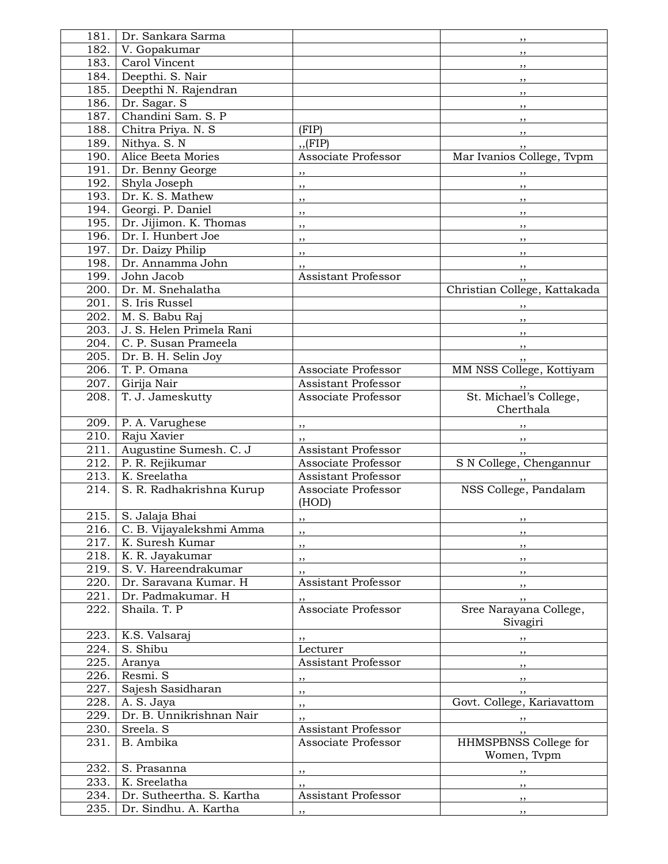| 181. | Dr. Sankara Sarma         |                                   | ,,                                |
|------|---------------------------|-----------------------------------|-----------------------------------|
| 182. | V. Gopakumar              |                                   | ,,                                |
| 183. | Carol Vincent             |                                   | ,,                                |
| 184. | Deepthi. S. Nair          |                                   |                                   |
| 185. | Deepthi N. Rajendran      |                                   | ,,                                |
| 186. | Dr. Sagar. S              |                                   | ,,                                |
| 187. | Chandini Sam. S. P        |                                   | ,,                                |
|      |                           |                                   | $, \,$                            |
| 188. | Chitra Priya. N. S        | (FIP)                             | , ,                               |
| 189. | Nithya. S. N              | $,$ (FIP)                         | ,,                                |
| 190. | Alice Beeta Mories        | Associate Professor               | Mar Ivanios College, Tvpm         |
| 191. | Dr. Benny George          | ,,                                | ,,                                |
| 192. | Shyla Joseph              | ,,                                | $, \, \,$                         |
| 193. | Dr. K. S. Mathew          | ,,                                | $, \, \, \cdot$                   |
| 194. | Georgi. P. Daniel         | ,,                                | $, \, , \,$                       |
| 195. | Dr. Jijimon. K. Thomas    | ,,                                | , ,                               |
| 196. | Dr. I. Hunbert Joe        | ,,                                | $, \,$                            |
| 197. | Dr. Daizy Philip          |                                   |                                   |
| 198. | Dr. Annamma John          | ,,                                | $, \,$                            |
| 199. | John Jacob                | ,,<br>Assistant Professor         | $, \,$                            |
|      |                           |                                   | ,,                                |
| 200. | Dr. M. Snehalatha         |                                   | Christian College, Kattakada      |
| 201. | S. Iris Russel            |                                   |                                   |
| 202. | M. S. Babu Raj            |                                   | $, \, \, \cdot$                   |
| 203. | J. S. Helen Primela Rani  |                                   | $, \, \,$                         |
| 204. | C. P. Susan Prameela      |                                   | $, \, , \,$                       |
| 205. | Dr. B. H. Selin Joy       |                                   | ,,                                |
| 206. | T. P. Omana               | Associate Professor               | MM NSS College, Kottiyam          |
| 207. | Girija Nair               | <b>Assistant Professor</b>        |                                   |
| 208. | T. J. Jameskutty          | Associate Professor               | St. Michael's College,            |
|      |                           |                                   | Cherthala                         |
| 209. | P. A. Varughese           |                                   |                                   |
| 210. | Raju Xavier               | ,,                                |                                   |
| 211. | Augustine Sumesh. C. J    | ,,<br><b>Assistant Professor</b>  | $, \,$                            |
| 212. | P. R. Rejikumar           | Associate Professor               | $, \,$<br>S N College, Chengannur |
| 213. | K. Sreelatha              | <b>Assistant Professor</b>        |                                   |
|      |                           |                                   | NSS College, Pandalam             |
| 214. | S. R. Radhakrishna Kurup  | Associate Professor               |                                   |
|      |                           | (HOD)                             |                                   |
|      | 215. S. Jalaja Bhai       |                                   |                                   |
| 216. | C. B. Vijayalekshmi Amma  | ,,                                | $, \,$                            |
| 217. | K. Suresh Kumar           | ,,                                | ,,                                |
| 218. | K. R. Jayakumar           | ,,                                | $, \,$                            |
| 219. | S. V. Hareendrakumar      | , ,                               | , ,                               |
| 220. | Dr. Saravana Kumar. H     | Assistant Professor               | $, \,$                            |
| 221. | Dr. Padmakumar. H         |                                   | $, \, , \,$                       |
| 222. | Shaila. T. P              | ,,<br>Associate Professor         | Sree Narayana College,            |
|      |                           |                                   | Sivagiri                          |
| 223. | K.S. Valsaraj             |                                   |                                   |
| 224. | S. Shibu                  | ,,<br>Lecturer                    | $, \,$                            |
|      |                           |                                   | $, \,$                            |
| 225. | Aranya                    | Assistant Professor               | $, \, \,$                         |
| 226. | Resmi. S                  | $, \, \cdot$                      | $, \,$                            |
| 227. | Sajesh Sasidharan         | $\overline{\phantom{a}}$          | $, \,$                            |
| 228. | A. S. Jaya                | $\overline{\phantom{a}}$          | Govt. College, Kariavattom        |
| 229. | Dr. B. Unnikrishnan Nair  | ,,                                |                                   |
| 230. | Sreela. S                 | Assistant Professor               | $, \, \,$                         |
| 231. | B. Ambika                 | Associate Professor               | HHMSPBNSS College for             |
|      |                           |                                   | Women, Tvpm                       |
| 232. | S. Prasanna               | $, \,$                            | $, \,$                            |
| 233. | K. Sreelatha              |                                   |                                   |
| 234. | Dr. Sutheertha. S. Kartha | , ,<br><b>Assistant Professor</b> | ,,                                |
| 235. | Dr. Sindhu. A. Kartha     |                                   | $, \,$                            |
|      |                           | ,,                                | $, \,$                            |